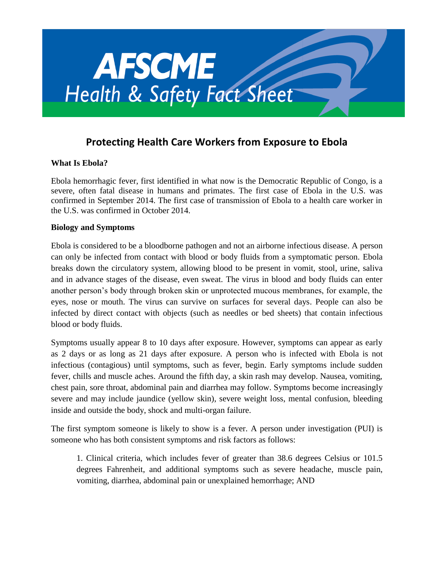

# **Protecting Health Care Workers from Exposure to Ebola**

### **What Is Ebola?**

Ebola hemorrhagic fever, first identified in what now is the Democratic Republic of Congo, is a severe, often fatal disease in humans and primates. The first case of Ebola in the U.S. was confirmed in September 2014. The first case of transmission of Ebola to a health care worker in the U.S. was confirmed in October 2014.

#### **Biology and Symptoms**

Ebola is considered to be a bloodborne pathogen and not an airborne infectious disease. A person can only be infected from contact with blood or body fluids from a symptomatic person. Ebola breaks down the circulatory system, allowing blood to be present in vomit, stool, urine, saliva and in advance stages of the disease, even sweat. The virus in blood and body fluids can enter another person's body through broken skin or unprotected mucous membranes, for example, the eyes, nose or mouth. The virus can survive on surfaces for several days. People can also be infected by direct contact with objects (such as needles or bed sheets) that contain infectious blood or body fluids.

Symptoms usually appear 8 to 10 days after exposure. However, symptoms can appear as early as 2 days or as long as 21 days after exposure. A person who is infected with Ebola is not infectious (contagious) until symptoms, such as fever, begin. Early symptoms include sudden fever, chills and muscle aches. Around the fifth day, a skin rash may develop. Nausea, vomiting, chest pain, sore throat, abdominal pain and diarrhea may follow. Symptoms become increasingly severe and may include jaundice (yellow skin), severe weight loss, mental confusion, bleeding inside and outside the body, shock and multi-organ failure.

The first symptom someone is likely to show is a fever. A person under investigation (PUI) is someone who has both consistent symptoms and risk factors as follows:

1. Clinical criteria, which includes fever of greater than 38.6 degrees Celsius or 101.5 degrees Fahrenheit, and additional symptoms such as severe headache, muscle pain, vomiting, diarrhea, abdominal pain or unexplained hemorrhage; AND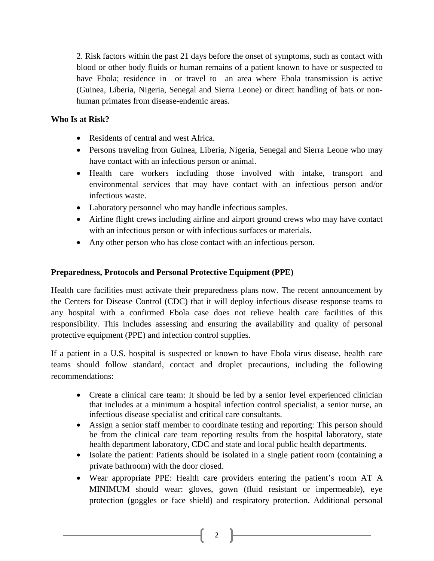2. Risk factors within the past 21 days before the onset of symptoms, such as contact with blood or other body fluids or human remains of a patient known to have or suspected to have Ebola; residence in—or travel to—an area where Ebola transmission is active (Guinea, Liberia, Nigeria, Senegal and Sierra Leone) or direct handling of bats or nonhuman primates from disease-endemic areas.

#### **Who Is at Risk?**

- Residents of central and west Africa.
- Persons traveling from Guinea, Liberia, Nigeria, Senegal and Sierra Leone who may have contact with an infectious person or animal.
- Health care workers including those involved with intake, transport and environmental services that may have contact with an infectious person and/or infectious waste.
- Laboratory personnel who may handle infectious samples.
- Airline flight crews including airline and airport ground crews who may have contact with an infectious person or with infectious surfaces or materials.
- Any other person who has close contact with an infectious person.

### **Preparedness, Protocols and Personal Protective Equipment (PPE)**

Health care facilities must activate their preparedness plans now. The recent announcement by the Centers for Disease Control (CDC) that it will deploy infectious disease response teams to any hospital with a confirmed Ebola case does not relieve health care facilities of this responsibility. This includes assessing and ensuring the availability and quality of personal protective equipment (PPE) and infection control supplies.

If a patient in a U.S. hospital is suspected or known to have Ebola virus disease, health care teams should follow standard, contact and droplet precautions, including the following recommendations:

- Create a clinical care team: It should be led by a senior level experienced clinician that includes at a minimum a hospital infection control specialist, a senior nurse, an infectious disease specialist and critical care consultants.
- Assign a senior staff member to coordinate testing and reporting: This person should be from the clinical care team reporting results from the hospital laboratory, state health department laboratory, CDC and state and local public health departments.
- Isolate the patient: Patients should be isolated in a single patient room (containing a private bathroom) with the door closed.
- Wear appropriate PPE: Health care providers entering the patient's room AT A MINIMUM should wear: gloves, gown (fluid resistant or impermeable), eye protection (goggles or face shield) and respiratory protection. Additional personal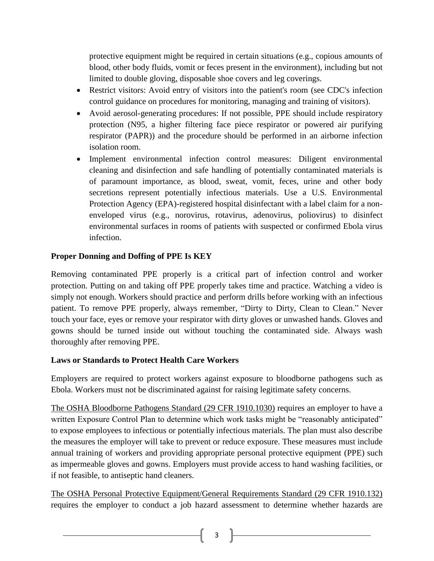protective equipment might be required in certain situations (e.g., copious amounts of blood, other body fluids, vomit or feces present in the environment), including but not limited to double gloving, disposable shoe covers and leg coverings.

- Restrict visitors: Avoid entry of visitors into the patient's room (see CDC's infection control guidance on procedures for monitoring, managing and training of visitors).
- Avoid aerosol-generating procedures: If not possible, PPE should include respiratory protection (N95, a higher filtering face piece respirator or powered air purifying respirator (PAPR)) and the procedure should be performed in an airborne infection isolation room.
- Implement environmental infection control measures: Diligent environmental cleaning and disinfection and safe handling of potentially contaminated materials is of paramount importance, as blood, sweat, vomit, feces, urine and other body secretions represent potentially infectious materials. Use a U.S. Environmental Protection Agency (EPA)-registered hospital disinfectant with a label claim for a nonenveloped virus (e.g., norovirus, rotavirus, adenovirus, poliovirus) to disinfect environmental surfaces in rooms of patients with suspected or confirmed Ebola virus infection.

## **Proper Donning and Doffing of PPE Is KEY**

Removing contaminated PPE properly is a critical part of infection control and worker protection. Putting on and taking off PPE properly takes time and practice. Watching a video is simply not enough. Workers should practice and perform drills before working with an infectious patient. To remove PPE properly, always remember, "Dirty to Dirty, Clean to Clean." Never touch your face, eyes or remove your respirator with dirty gloves or unwashed hands. Gloves and gowns should be turned inside out without touching the contaminated side. Always wash thoroughly after removing PPE.

### **Laws or Standards to Protect Health Care Workers**

Employers are required to protect workers against exposure to bloodborne pathogens such as Ebola. Workers must not be discriminated against for raising legitimate safety concerns.

The OSHA Bloodborne Pathogens Standard (29 CFR 1910.1030) requires an employer to have a written Exposure Control Plan to determine which work tasks might be "reasonably anticipated" to expose employees to infectious or potentially infectious materials. The plan must also describe the measures the employer will take to prevent or reduce exposure. These measures must include annual training of workers and providing appropriate personal protective equipment (PPE) such as impermeable gloves and gowns. Employers must provide access to hand washing facilities, or if not feasible, to antiseptic hand cleaners.

The OSHA Personal Protective Equipment/General Requirements Standard (29 CFR 1910.132) requires the employer to conduct a job hazard assessment to determine whether hazards are